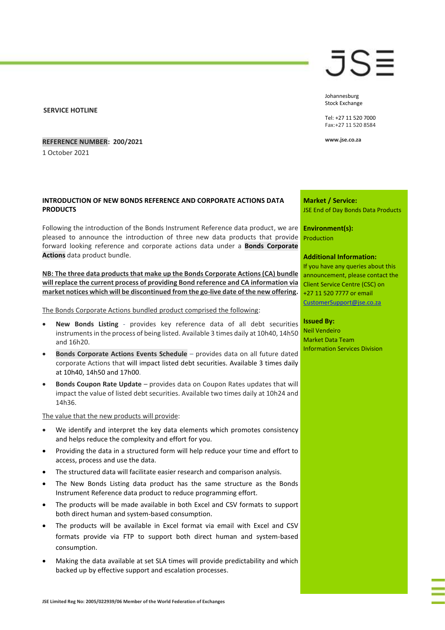**SERVICE HOTLINE**

**REFERENCE NUMBER: 200/2021**

1 October 2021

# **INTRODUCTION OF NEW BONDS REFERENCE AND CORPORATE ACTIONS DATA PRODUCTS**

Following the introduction of the Bonds Instrument Reference data product, we are pleased to announce the introduction of three new data products that provide forward looking reference and corporate actions data under a **Bonds Corporate Actions** data product bundle.

**NB: The three data products that make up the Bonds Corporate Actions (CA) bundle will replace the current process of providing Bond reference and CA information via market notices which will be discontinued from the go-live date of the new offering.**

The Bonds Corporate Actions bundled product comprised the following:

- **New Bonds Listing** provides key reference data of all debt securities instruments in the process of being listed. Available 3 times daily at 10h40, 14h50 and 16h20.
- **Bonds Corporate Actions Events Schedule** provides data on all future dated corporate Actions that will impact listed debt securities. Available 3 times daily at 10h40, 14h50 and 17h00.
- **Bonds Coupon Rate Update** provides data on Coupon Rates updates that will impact the value of listed debt securities. Available two times daily at 10h24 and 14h36.

The value that the new products will provide:

- We identify and interpret the key data elements which promotes consistency and helps reduce the complexity and effort for you.
- Providing the data in a structured form will help reduce your time and effort to access, process and use the data.
- The structured data will facilitate easier research and comparison analysis.
- The New Bonds Listing data product has the same structure as the Bonds Instrument Reference data product to reduce programming effort.
- The products will be made available in both Excel and CSV formats to support both direct human and system-based consumption.
- The products will be available in Excel format via email with Excel and CSV formats provide via FTP to support both direct human and system-based consumption.
- Making the data available at set SLA times will provide predictability and which backed up by effective support and escalation processes.

JSE

Johannesburg Stock Exchange

Tel: +27 11 520 7000 Fax:+27 11 520 8584

**www.jse.co.za**

**Market / Service:** JSE End of Day Bonds Data Products

**Environment(s):** Production

#### **Additional Information:**

If you have any queries about this announcement, please contact the Client Service Centre (CSC) on +27 11 520 7777 or email [CustomerSupport@jse.co.za](mailto:CustomerSupport@jse.co.za)

# **Issued By:**

Neil Vendeiro Market Data Team Information Services Division